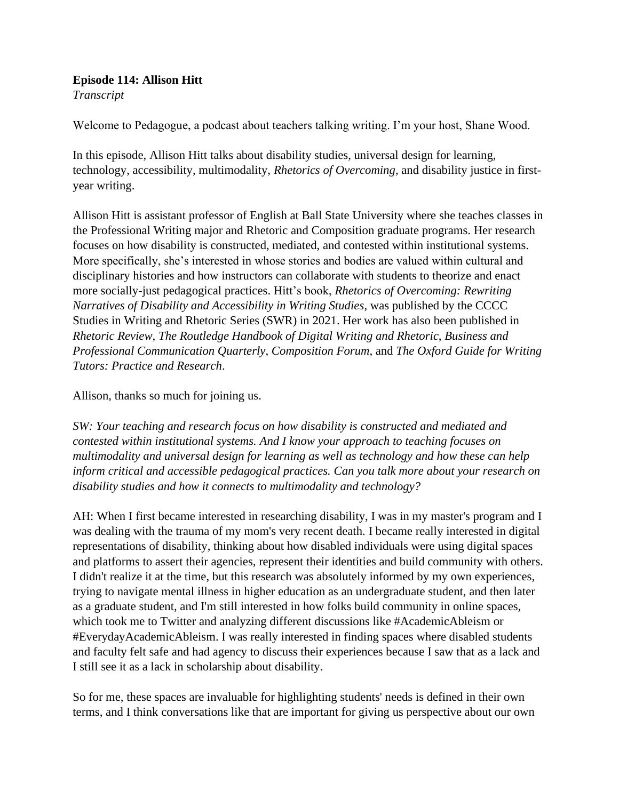## **Episode 114: Allison Hitt**

*Transcript*

Welcome to Pedagogue, a podcast about teachers talking writing. I'm your host, Shane Wood.

In this episode, Allison Hitt talks about disability studies, universal design for learning, technology, accessibility, multimodality, *Rhetorics of Overcoming*, and disability justice in firstyear writing.

Allison Hitt is assistant professor of English at Ball State University where she teaches classes in the Professional Writing major and Rhetoric and Composition graduate programs. Her research focuses on how disability is constructed, mediated, and contested within institutional systems. More specifically, she's interested in whose stories and bodies are valued within cultural and disciplinary histories and how instructors can collaborate with students to theorize and enact more socially-just pedagogical practices. Hitt's book, *Rhetorics of Overcoming: Rewriting Narratives of Disability and Accessibility in Writing Studies*, was published by the CCCC Studies in Writing and Rhetoric Series (SWR) in 2021. Her work has also been published in *Rhetoric Review*, *The Routledge Handbook of Digital Writing and Rhetoric*, *Business and Professional Communication Quarterly*, *Composition Forum*, and *The Oxford Guide for Writing Tutors: Practice and Research*.

Allison, thanks so much for joining us.

*SW: Your teaching and research focus on how disability is constructed and mediated and contested within institutional systems. And I know your approach to teaching focuses on multimodality and universal design for learning as well as technology and how these can help inform critical and accessible pedagogical practices. Can you talk more about your research on disability studies and how it connects to multimodality and technology?*

AH: When I first became interested in researching disability, I was in my master's program and I was dealing with the trauma of my mom's very recent death. I became really interested in digital representations of disability, thinking about how disabled individuals were using digital spaces and platforms to assert their agencies, represent their identities and build community with others. I didn't realize it at the time, but this research was absolutely informed by my own experiences, trying to navigate mental illness in higher education as an undergraduate student, and then later as a graduate student, and I'm still interested in how folks build community in online spaces, which took me to Twitter and analyzing different discussions like #AcademicAbleism or #EverydayAcademicAbleism. I was really interested in finding spaces where disabled students and faculty felt safe and had agency to discuss their experiences because I saw that as a lack and I still see it as a lack in scholarship about disability.

So for me, these spaces are invaluable for highlighting students' needs is defined in their own terms, and I think conversations like that are important for giving us perspective about our own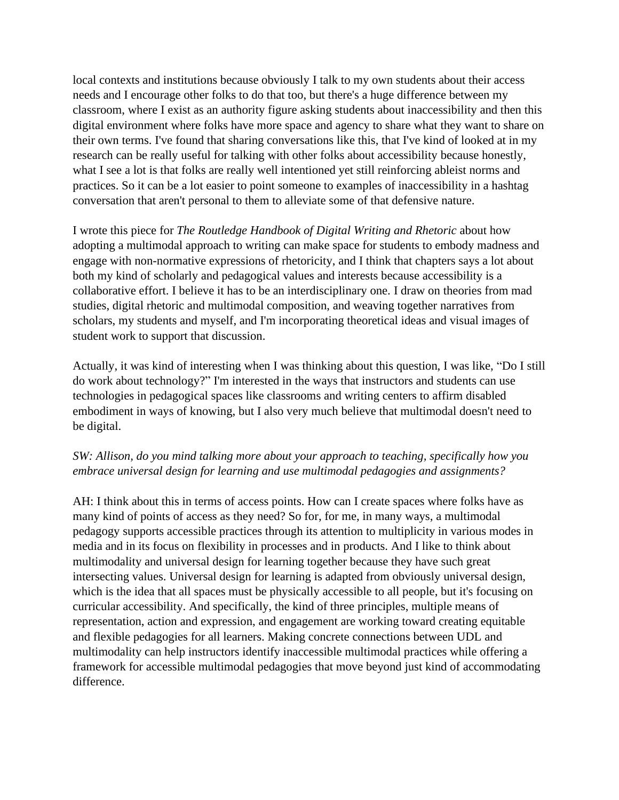local contexts and institutions because obviously I talk to my own students about their access needs and I encourage other folks to do that too, but there's a huge difference between my classroom, where I exist as an authority figure asking students about inaccessibility and then this digital environment where folks have more space and agency to share what they want to share on their own terms. I've found that sharing conversations like this, that I've kind of looked at in my research can be really useful for talking with other folks about accessibility because honestly, what I see a lot is that folks are really well intentioned yet still reinforcing ableist norms and practices. So it can be a lot easier to point someone to examples of inaccessibility in a hashtag conversation that aren't personal to them to alleviate some of that defensive nature.

I wrote this piece for *The Routledge Handbook of Digital Writing and Rhetoric* about how adopting a multimodal approach to writing can make space for students to embody madness and engage with non-normative expressions of rhetoricity, and I think that chapters says a lot about both my kind of scholarly and pedagogical values and interests because accessibility is a collaborative effort. I believe it has to be an interdisciplinary one. I draw on theories from mad studies, digital rhetoric and multimodal composition, and weaving together narratives from scholars, my students and myself, and I'm incorporating theoretical ideas and visual images of student work to support that discussion.

Actually, it was kind of interesting when I was thinking about this question, I was like, "Do I still do work about technology?" I'm interested in the ways that instructors and students can use technologies in pedagogical spaces like classrooms and writing centers to affirm disabled embodiment in ways of knowing, but I also very much believe that multimodal doesn't need to be digital.

## *SW: Allison, do you mind talking more about your approach to teaching, specifically how you embrace universal design for learning and use multimodal pedagogies and assignments?*

AH: I think about this in terms of access points. How can I create spaces where folks have as many kind of points of access as they need? So for, for me, in many ways, a multimodal pedagogy supports accessible practices through its attention to multiplicity in various modes in media and in its focus on flexibility in processes and in products. And I like to think about multimodality and universal design for learning together because they have such great intersecting values. Universal design for learning is adapted from obviously universal design, which is the idea that all spaces must be physically accessible to all people, but it's focusing on curricular accessibility. And specifically, the kind of three principles, multiple means of representation, action and expression, and engagement are working toward creating equitable and flexible pedagogies for all learners. Making concrete connections between UDL and multimodality can help instructors identify inaccessible multimodal practices while offering a framework for accessible multimodal pedagogies that move beyond just kind of accommodating difference.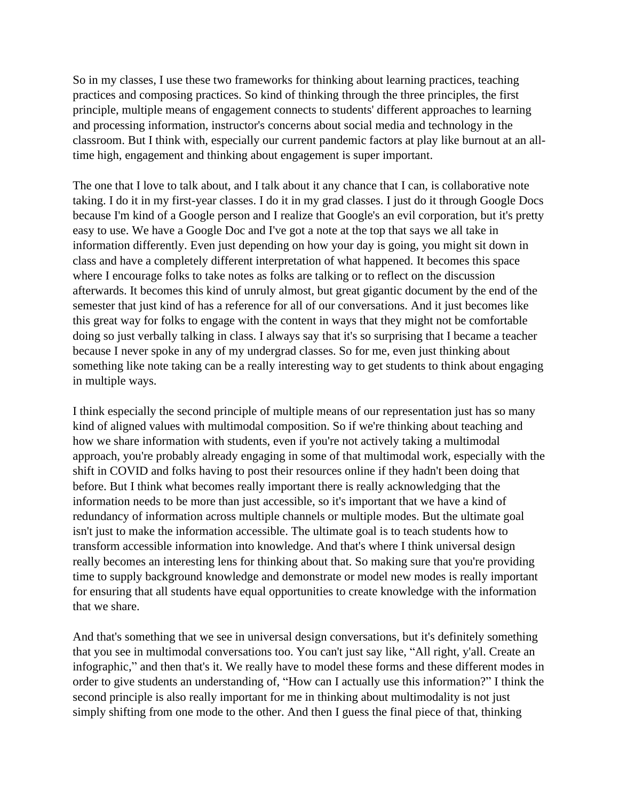So in my classes, I use these two frameworks for thinking about learning practices, teaching practices and composing practices. So kind of thinking through the three principles, the first principle, multiple means of engagement connects to students' different approaches to learning and processing information, instructor's concerns about social media and technology in the classroom. But I think with, especially our current pandemic factors at play like burnout at an alltime high, engagement and thinking about engagement is super important.

The one that I love to talk about, and I talk about it any chance that I can, is collaborative note taking. I do it in my first-year classes. I do it in my grad classes. I just do it through Google Docs because I'm kind of a Google person and I realize that Google's an evil corporation, but it's pretty easy to use. We have a Google Doc and I've got a note at the top that says we all take in information differently. Even just depending on how your day is going, you might sit down in class and have a completely different interpretation of what happened. It becomes this space where I encourage folks to take notes as folks are talking or to reflect on the discussion afterwards. It becomes this kind of unruly almost, but great gigantic document by the end of the semester that just kind of has a reference for all of our conversations. And it just becomes like this great way for folks to engage with the content in ways that they might not be comfortable doing so just verbally talking in class. I always say that it's so surprising that I became a teacher because I never spoke in any of my undergrad classes. So for me, even just thinking about something like note taking can be a really interesting way to get students to think about engaging in multiple ways.

I think especially the second principle of multiple means of our representation just has so many kind of aligned values with multimodal composition. So if we're thinking about teaching and how we share information with students, even if you're not actively taking a multimodal approach, you're probably already engaging in some of that multimodal work, especially with the shift in COVID and folks having to post their resources online if they hadn't been doing that before. But I think what becomes really important there is really acknowledging that the information needs to be more than just accessible, so it's important that we have a kind of redundancy of information across multiple channels or multiple modes. But the ultimate goal isn't just to make the information accessible. The ultimate goal is to teach students how to transform accessible information into knowledge. And that's where I think universal design really becomes an interesting lens for thinking about that. So making sure that you're providing time to supply background knowledge and demonstrate or model new modes is really important for ensuring that all students have equal opportunities to create knowledge with the information that we share.

And that's something that we see in universal design conversations, but it's definitely something that you see in multimodal conversations too. You can't just say like, "All right, y'all. Create an infographic," and then that's it. We really have to model these forms and these different modes in order to give students an understanding of, "How can I actually use this information?" I think the second principle is also really important for me in thinking about multimodality is not just simply shifting from one mode to the other. And then I guess the final piece of that, thinking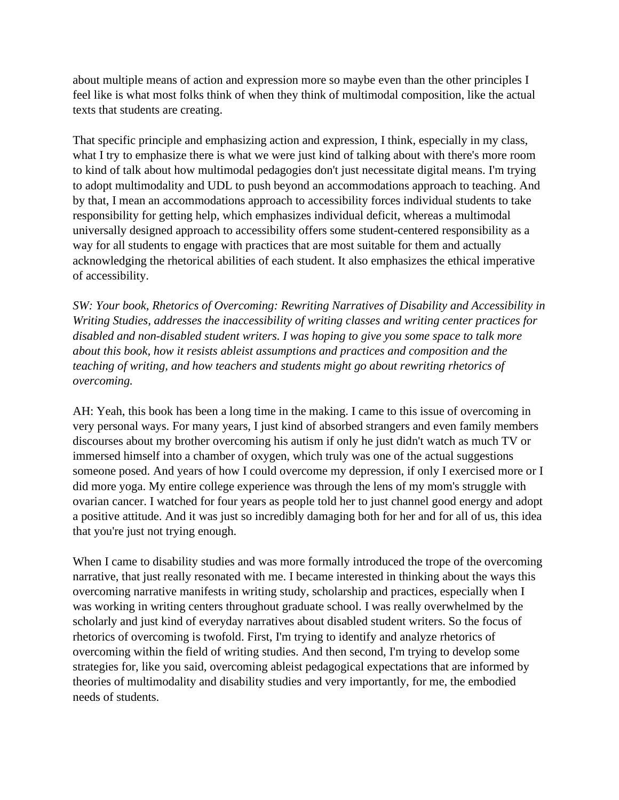about multiple means of action and expression more so maybe even than the other principles I feel like is what most folks think of when they think of multimodal composition, like the actual texts that students are creating.

That specific principle and emphasizing action and expression, I think, especially in my class, what I try to emphasize there is what we were just kind of talking about with there's more room to kind of talk about how multimodal pedagogies don't just necessitate digital means. I'm trying to adopt multimodality and UDL to push beyond an accommodations approach to teaching. And by that, I mean an accommodations approach to accessibility forces individual students to take responsibility for getting help, which emphasizes individual deficit, whereas a multimodal universally designed approach to accessibility offers some student-centered responsibility as a way for all students to engage with practices that are most suitable for them and actually acknowledging the rhetorical abilities of each student. It also emphasizes the ethical imperative of accessibility.

*SW: Your book, Rhetorics of Overcoming: Rewriting Narratives of Disability and Accessibility in Writing Studies, addresses the inaccessibility of writing classes and writing center practices for disabled and non-disabled student writers. I was hoping to give you some space to talk more about this book, how it resists ableist assumptions and practices and composition and the teaching of writing, and how teachers and students might go about rewriting rhetorics of overcoming.*

AH: Yeah, this book has been a long time in the making. I came to this issue of overcoming in very personal ways. For many years, I just kind of absorbed strangers and even family members discourses about my brother overcoming his autism if only he just didn't watch as much TV or immersed himself into a chamber of oxygen, which truly was one of the actual suggestions someone posed. And years of how I could overcome my depression, if only I exercised more or I did more yoga. My entire college experience was through the lens of my mom's struggle with ovarian cancer. I watched for four years as people told her to just channel good energy and adopt a positive attitude. And it was just so incredibly damaging both for her and for all of us, this idea that you're just not trying enough.

When I came to disability studies and was more formally introduced the trope of the overcoming narrative, that just really resonated with me. I became interested in thinking about the ways this overcoming narrative manifests in writing study, scholarship and practices, especially when I was working in writing centers throughout graduate school. I was really overwhelmed by the scholarly and just kind of everyday narratives about disabled student writers. So the focus of rhetorics of overcoming is twofold. First, I'm trying to identify and analyze rhetorics of overcoming within the field of writing studies. And then second, I'm trying to develop some strategies for, like you said, overcoming ableist pedagogical expectations that are informed by theories of multimodality and disability studies and very importantly, for me, the embodied needs of students.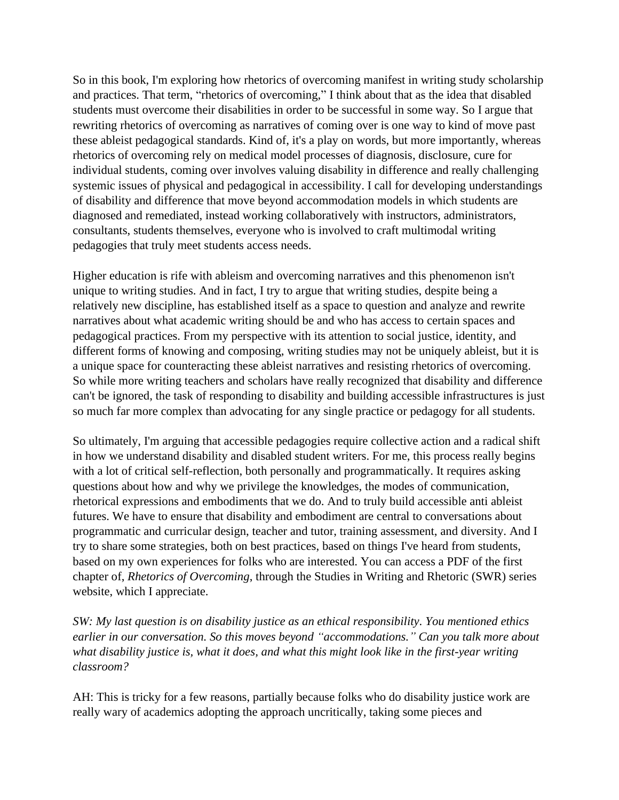So in this book, I'm exploring how rhetorics of overcoming manifest in writing study scholarship and practices. That term, "rhetorics of overcoming," I think about that as the idea that disabled students must overcome their disabilities in order to be successful in some way. So I argue that rewriting rhetorics of overcoming as narratives of coming over is one way to kind of move past these ableist pedagogical standards. Kind of, it's a play on words, but more importantly, whereas rhetorics of overcoming rely on medical model processes of diagnosis, disclosure, cure for individual students, coming over involves valuing disability in difference and really challenging systemic issues of physical and pedagogical in accessibility. I call for developing understandings of disability and difference that move beyond accommodation models in which students are diagnosed and remediated, instead working collaboratively with instructors, administrators, consultants, students themselves, everyone who is involved to craft multimodal writing pedagogies that truly meet students access needs.

Higher education is rife with ableism and overcoming narratives and this phenomenon isn't unique to writing studies. And in fact, I try to argue that writing studies, despite being a relatively new discipline, has established itself as a space to question and analyze and rewrite narratives about what academic writing should be and who has access to certain spaces and pedagogical practices. From my perspective with its attention to social justice, identity, and different forms of knowing and composing, writing studies may not be uniquely ableist, but it is a unique space for counteracting these ableist narratives and resisting rhetorics of overcoming. So while more writing teachers and scholars have really recognized that disability and difference can't be ignored, the task of responding to disability and building accessible infrastructures is just so much far more complex than advocating for any single practice or pedagogy for all students.

So ultimately, I'm arguing that accessible pedagogies require collective action and a radical shift in how we understand disability and disabled student writers. For me, this process really begins with a lot of critical self-reflection, both personally and programmatically. It requires asking questions about how and why we privilege the knowledges, the modes of communication, rhetorical expressions and embodiments that we do. And to truly build accessible anti ableist futures. We have to ensure that disability and embodiment are central to conversations about programmatic and curricular design, teacher and tutor, training assessment, and diversity. And I try to share some strategies, both on best practices, based on things I've heard from students, based on my own experiences for folks who are interested. You can access a PDF of the first chapter of, *Rhetorics of Overcoming*, through the Studies in Writing and Rhetoric (SWR) series website, which I appreciate.

*SW: My last question is on disability justice as an ethical responsibility. You mentioned ethics earlier in our conversation. So this moves beyond "accommodations." Can you talk more about what disability justice is, what it does, and what this might look like in the first-year writing classroom?*

AH: This is tricky for a few reasons, partially because folks who do disability justice work are really wary of academics adopting the approach uncritically, taking some pieces and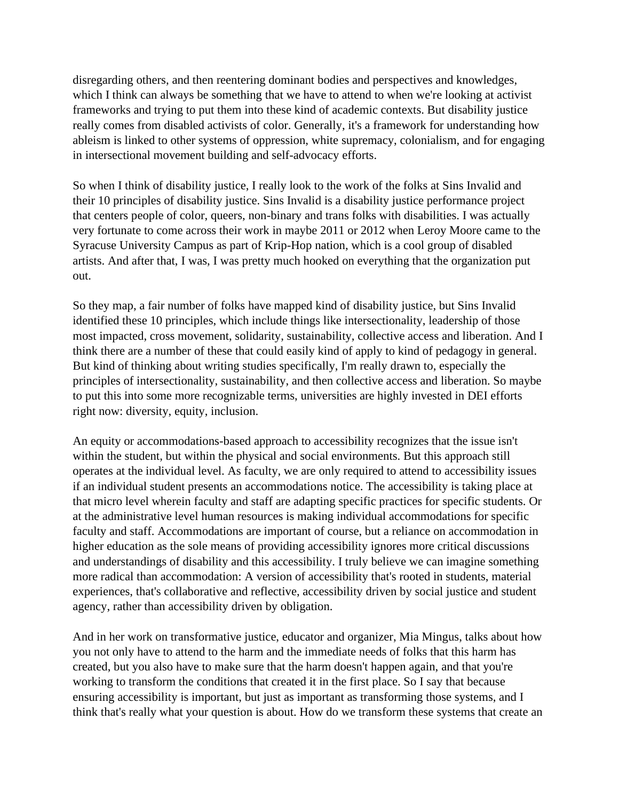disregarding others, and then reentering dominant bodies and perspectives and knowledges, which I think can always be something that we have to attend to when we're looking at activist frameworks and trying to put them into these kind of academic contexts. But disability justice really comes from disabled activists of color. Generally, it's a framework for understanding how ableism is linked to other systems of oppression, white supremacy, colonialism, and for engaging in intersectional movement building and self-advocacy efforts.

So when I think of disability justice, I really look to the work of the folks at Sins Invalid and their 10 principles of disability justice. Sins Invalid is a disability justice performance project that centers people of color, queers, non-binary and trans folks with disabilities. I was actually very fortunate to come across their work in maybe 2011 or 2012 when Leroy Moore came to the Syracuse University Campus as part of Krip-Hop nation, which is a cool group of disabled artists. And after that, I was, I was pretty much hooked on everything that the organization put out.

So they map, a fair number of folks have mapped kind of disability justice, but Sins Invalid identified these 10 principles, which include things like intersectionality, leadership of those most impacted, cross movement, solidarity, sustainability, collective access and liberation. And I think there are a number of these that could easily kind of apply to kind of pedagogy in general. But kind of thinking about writing studies specifically, I'm really drawn to, especially the principles of intersectionality, sustainability, and then collective access and liberation. So maybe to put this into some more recognizable terms, universities are highly invested in DEI efforts right now: diversity, equity, inclusion.

An equity or accommodations-based approach to accessibility recognizes that the issue isn't within the student, but within the physical and social environments. But this approach still operates at the individual level. As faculty, we are only required to attend to accessibility issues if an individual student presents an accommodations notice. The accessibility is taking place at that micro level wherein faculty and staff are adapting specific practices for specific students. Or at the administrative level human resources is making individual accommodations for specific faculty and staff. Accommodations are important of course, but a reliance on accommodation in higher education as the sole means of providing accessibility ignores more critical discussions and understandings of disability and this accessibility. I truly believe we can imagine something more radical than accommodation: A version of accessibility that's rooted in students, material experiences, that's collaborative and reflective, accessibility driven by social justice and student agency, rather than accessibility driven by obligation.

And in her work on transformative justice, educator and organizer, Mia Mingus, talks about how you not only have to attend to the harm and the immediate needs of folks that this harm has created, but you also have to make sure that the harm doesn't happen again, and that you're working to transform the conditions that created it in the first place. So I say that because ensuring accessibility is important, but just as important as transforming those systems, and I think that's really what your question is about. How do we transform these systems that create an